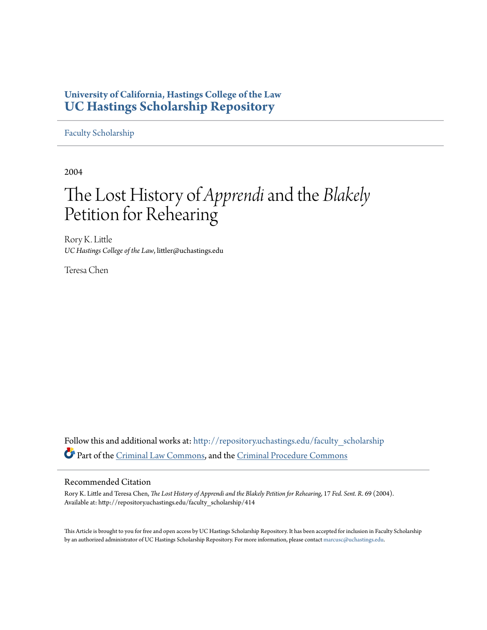## **University of California, Hastings College of the Law [UC Hastings Scholarship Repository](http://repository.uchastings.edu?utm_source=repository.uchastings.edu%2Ffaculty_scholarship%2F414&utm_medium=PDF&utm_campaign=PDFCoverPages)**

[Faculty Scholarship](http://repository.uchastings.edu/faculty_scholarship?utm_source=repository.uchastings.edu%2Ffaculty_scholarship%2F414&utm_medium=PDF&utm_campaign=PDFCoverPages)

2004

# The Lost History of *Apprendi*and the *Blakely* Petition for Rehearing

Rory K. Little *UC Hastings College of the Law*, littler@uchastings.edu

Teresa Chen

Follow this and additional works at: [http://repository.uchastings.edu/faculty\\_scholarship](http://repository.uchastings.edu/faculty_scholarship?utm_source=repository.uchastings.edu%2Ffaculty_scholarship%2F414&utm_medium=PDF&utm_campaign=PDFCoverPages) Part of the [Criminal Law Commons](http://network.bepress.com/hgg/discipline/912?utm_source=repository.uchastings.edu%2Ffaculty_scholarship%2F414&utm_medium=PDF&utm_campaign=PDFCoverPages), and the [Criminal Procedure Commons](http://network.bepress.com/hgg/discipline/1073?utm_source=repository.uchastings.edu%2Ffaculty_scholarship%2F414&utm_medium=PDF&utm_campaign=PDFCoverPages)

#### Recommended Citation

Rory K. Little and Teresa Chen, *The Lost History of Apprendi and the Blakely Petition for Rehearing*, 17 *Fed. Sent. R.* 69 (2004). Available at: http://repository.uchastings.edu/faculty\_scholarship/414

This Article is brought to you for free and open access by UC Hastings Scholarship Repository. It has been accepted for inclusion in Faculty Scholarship by an authorized administrator of UC Hastings Scholarship Repository. For more information, please contact [marcusc@uchastings.edu](mailto:marcusc@uchastings.edu).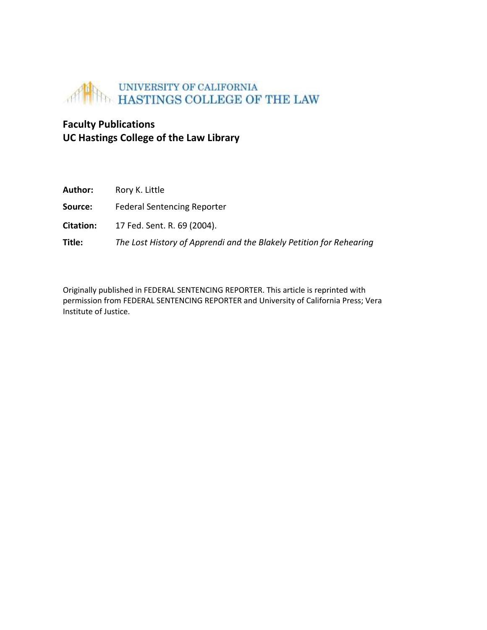

## **Faculty Publications UC Hastings College of the Law Library**

| Author:          | Rory K. Little                                                      |
|------------------|---------------------------------------------------------------------|
| Source:          | <b>Federal Sentencing Reporter</b>                                  |
| <b>Citation:</b> | 17 Fed. Sent. R. 69 (2004).                                         |
| Title:           | The Lost History of Apprendi and the Blakely Petition for Rehearing |

Originally published in FEDERAL SENTENCING REPORTER. This article is reprinted with permission from FEDERAL SENTENCING REPORTER and University of California Press; Vera Institute of Justice.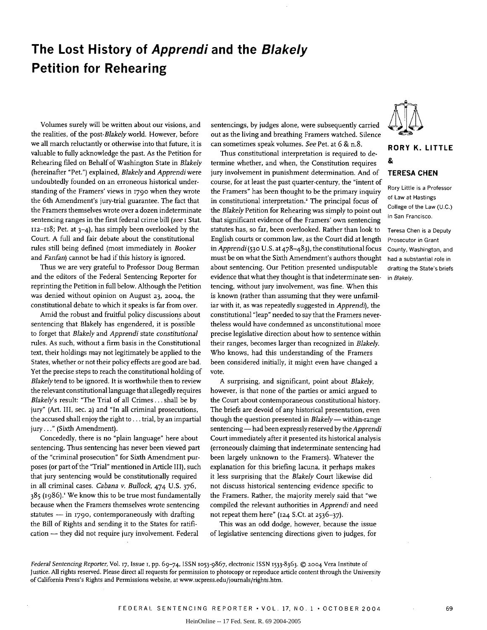## **The Lost History of Apprendi and the Blakely Petition for Rehearing**

Volumes surely will be written about our visions, and the realities, of the *post-Blakely* world. However, before we all march reluctantly or otherwise into that future, it is valuable to fully acknowledge the past. As the Petition for Rehearing filed on Behalf of Washington State in *Blakely* (hereinafter "Pet.") explained, *Blakely* and *Apprendi* were undoubtedly founded on an erroneous historical understanding of the Framers' views in **1790** when they wrote the 6th Amendment's jury-trial guarantee. The fact that the Framers themselves wrote over a dozen indeterminate sentencing ranges in the first federal crime bill *(see* i Stat.  $112-118$ ; Pet. at  $3-4$ ), has simply been overlooked by the Court. A full and fair debate about the constitutional rules still being defined (most immediately in *Booker* and *Fanfan*) cannot be had if this history is ignored.

Thus we are very grateful to Professor Doug Berman and the editors of the Federal Sentencing Reporter for reprinting the Petition in full below. Although the Petition was denied without opinion on August **23, 2004,** the constitutional debate to which it speaks is far from over.

Amid the robust and fruitful policy discussions about sentencing that Blakely has engendered, it is possible to forget that *Blakely* and *Apprendi* state *constitutional* rules. As such, without a firm basis in the Constitutional text, their holdings may not legitimately be applied to the States, whether or not their policy effects are good are bad. Yet the precise steps to reach the constitutional holding of *Blakely* tend to be ignored. It is worthwhile then to review the relevant constitutional language that allegedly requires *Blakelys* result: "The Trial of all Crimes ... shall be by jury" (Art. III, sec. **2)** and "In all criminal prosecutions, the accused shall enjoy the right to... trial, by an impartial jury..." (Sixth Amendment).

Concededly, there is no "plain language" here about sentencing. Thus sentencing has never been viewed part of the "criminal prosecution" for Sixth Amendment purposes (or part of the "Trial" mentioned in Article III), such that jury sentencing would be constitutionally required in all criminal cases. *Cabana v. Bullock,* 474 U.S. 376, 385 (1986).' We know this to be true most fundamentally because when the Framers themselves wrote sentencing statutes  $-$  in 1790, contemporaneously with drafting the Bill of Rights and sending it to the States for ratification - they did not require jury involvement. Federal

sentencings, by judges alone, were subsequently carried out as the living and breathing Framers watched. Silence can sometimes speak volumes. *See* Pet. at 6 & n.8.

Thus constitutional interpretation is required to determine whether, and when, the Constitution requires jury involvement in punishment determination. And of course, for at least the past quarter-century, the "intent of the Framers" has been thought to be the primary inquiry in constitutional interpretation.<sup>2</sup> The principal focus of the *Blakely* Petition for Rehearing was simply to point out that significant evidence of the Framers' own sentencing statutes has, so far, been overlooked. Rather than look to English courts or common law, as the Court did at length in *Apprendi* **(530** U.S. at 478-483), the constitutional focus must be on what the Sixth Amendment's authors thought about sentencing. Our Petition presented undisputable evidence that what they thought is that indeterminate sentencing, without jury involvement, was fine. When this is known (rather than assuming that they were unfamiliar with it, as was repeatedly suggested in *Apprendi), the* constitutional "leap" needed to say that the Framers nevertheless would have condemned as unconstitutional more precise legislative direction about how to sentence within their ranges, becomes larger than recognized in *Blakely.* Who knows, had this understanding of the Framers been considered initially, it might even have changed a vote.

A surprising, and significant, point about *Blakely,* however, is that none of the parties or amici argued to the Court about contemporaneous constitutional history. The briefs are devoid of any historical presentation, even though the question presented in *Blakely* - within-range sentencing - had been expressly reserved by the *Apprendi* Court immediately after it presented its historical analysis (erroneously claiming that indeterminate sentencing had been largely unknown to the Framers). Whatever the explanation for this briefing lacuna, it perhaps makes it less surprising that the *Blakely* Court likewise did not discuss historical sentencing evidence specific to the Framers. Rather, the majority merely said that "we compiled the relevant authorities in *Apprendi* and need not repeat them here" (124 S.Ct. at 2536-37).

This was an odd dodge, however, because the issue of legislative sentencing directions given to judges, for



### **RORY K. LITTLE &**

#### **TERESA CHEN**

Rory Little is a Professor of Law at Hastings College of the Law (U.C.) in San Francisco.

Teresa Chen is a Deputy Prosecutor in Grant County, Washington, and had a substantial role in drafting the State's briefs in Blakely.

*Federal Sentencing Reporter,* Vol. **17,** Issue i, pp. 69-74, ISSN 1053-9867, electronic ISSN 1533-8363. © 2004 Vera Institute of Justice. All rights reserved. Please direct all requests for permission to photocopy or reproduce article content through the University

of California Press's Rights and Permissions website, at www.ucpress.edu/journals/rights.htm.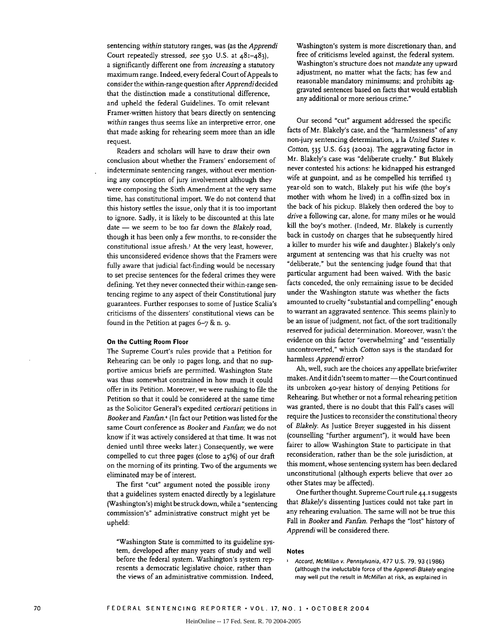sentencing *within* statutory ranges, was (as the *Apprendi* Court repeatedly stressed, *see* **530** U.S. at 481-483), a significantly different one from *increasing* a statutory maximum range. Indeed, every federal Court of Appeals to consider the within-range question after *Apprendidecided* that the distinction made a constitutional difference, and upheld the federal Guidelines. To omit relevant Framer-written history that bears directly on sentencing *within* ranges thus seems like an interpretive error, one that made asking for rehearing seem more than an idle request.

Readers and scholars will have to draw their own conclusion about whether the Framers' endorsement of indeterminate sentencing ranges, without ever mentioning any conception of jury involvement although they were composing the Sixth Amendment at the very same time, has constitutional import. We do not contend that this history settles the issue, only that it is too important to ignore. Sadly, it is likely to be discounted at this late date - we seem to be too far down the *Blakely* road, though it has been only a few months, to re-consider the constitutional issue afresh.3 At the very least, however, this unconsidered evidence shows that the Framers were fully aware that judicial fact-finding would be necessary to set precise sentences for the federal crimes they were defining. Yet they never connected their within-range sentencing regime to any aspect of their Constitutional jury guarantees. Further responses to some of Justice Scalia's criticisms of the dissenters' constitutional views can be found in the Petition at pages 6-7 & n. 9.

#### **On the Cutting Room Floor**

The Supreme Court's rules provide that a Petition for Rehearing can be only io pages long, and that no supportive amicus briefs are permitted. Washington State was thus somewhat constrained in how much it could offer in its Petition. Moreover, we were rushing to file the Petition so that it could be considered at the same time as the Solicitor General's expedited *certiorari* petitions in *Booker and Fanfan.4* (In fact our Petition was listed for the same Court conference as *Booker* and *Fanfan;* we do not know if it was actively considered at that time. It was not denied until three weeks later.) Consequently, we were compelled to cut three pages (close to **25%)** of our draft on the morning of its printing. Two of the arguments we eliminated may be of interest.

The first "cut" argument noted the possible irony that a guidelines system enacted directly by a legislature (Washington's) might be struck down, while a "sentencing commission's" administrative construct might yet be upheld:

"Washington State is committed to its guideline system, developed after many years of study and well before the federal system. Washington's system represents a democratic legislative choice, rather than the views of an administrative commission. Indeed,

Washington's system is more discretionary than, and free of criticisms leveled against, the federal system. Washington's structure does not *mandate* any upward adjustment, no matter what the facts; has few and reasonable mandatory minimums; and prohibits aggravated sentences based on facts that would establish any additional **or** more serious crime."

Our second "cut" argument addressed the specific facts of Mr. Blakely's case, and the "harmlessness" of any non-jury sentencing determination, a la *United States v. Cotton,* 535 U.S. 625 **(2002).** The aggravating factor in Mr. Blakely's case was "deliberate cruelty." But Blakely never contested his actions: he kidnapped his estranged wife at gunpoint, and as he compelled his terrified 13 year-old son to watch, Blakely put his wife (the boy's mother with whom he lived) in a coffin-sized box in the back of his pickup. Blakely then ordered the boy to *drive* a following car, alone, for many miles or he would kill the boy's mother. (Indeed, Mr. Blakely is currently back in custody on charges that he subsequently hired a killer to murder his wife and daughter.) Blakely's only argument at sentencing was that his cruelty was not "deliberate," but the sentencing judge found that that particular argument had been waived. With the basic facts conceded, the only remaining issue to be decided under the Washington statute was whether the facts amounted to cruelty "substantial and compelling" enough to warrant an aggravated sentence. This seems plainly to be an issue of judgment, not fact, of the sort traditionally reserved for judicial determination. Moreover, wasn't the evidence on this factor "overwhelming" and "essentially uncontroverted," which *Cotton* says is the standard for harmless *Apprendi* error?

**Ah,** well, such are the choices any appellate briefwriter makes. And it didn't seem to matter - the Court continued its unbroken 4o-year history of denying Petitions for Rehearing. But whether or not a formal rehearing petition was granted, there is no doubt that this Fall's cases will require the Justices to reconsider the constitutional theory of *Blakely.* As Justice Breyer suggested in his dissent (counselling "further argument"), it would have been fairer to allow Washington State to participate in that reconsideration, rather than be the sole jurisdiction, at this moment, whose sentencing system has been declared unconstitutional (although experts believe that over **20** other States may be affected).

One further thought. Supreme Court rule 44.1 suggests that *Blakely's* dissenting Justices could not take part in any rehearing evaluation. The same will not be true this Fall in *Booker* and *Fanfan.* Perhaps the "lost" history of *Apprendi* will be considered there.

#### **Notes**

 $\mathbf{I}$ Accord, McMillan v. Pennsylvania, **477 U.S. 79, 93 (1986)** (although the ineluctable force of the Apprendi-Blakely engine may well put the result in McMillan at risk, as explained in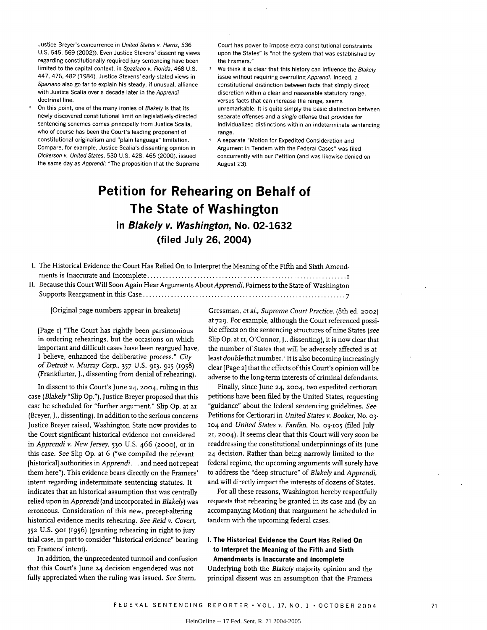Justice Breyer's concurrence in United States v. Harris, 536 U.S. 545, 569 (2002)). Even Justice Stevens' dissenting views regarding constitutionally-required jury sentencing have been limited to the capital context, in Spaziano v. Florida, 468 U.S. 447, 476, 482 (1984). Justice Stevens' early-stated views in Spaziano also go far to explain his steady, if unusual, alliance with Justice Scalia over a decade later in the Apprendi doctrinal line.

On this point, one of the many ironies of Blakely is that its newly discovered constitutional limit on legislatively-directed sentencing schemes comes principally from Justice Scalia, who of course has been the Court's leading proponent of constitutional originalism and "plain language" limitation. Compare, for example, Justice Scalia's dissenting opinion in Dickerson v. United States, 530 U.S. 428, 465 (2000), issued the same day as Apprendi: "The proposition that the Supreme Court has power to impose extra-constitutional constraints upon the States" is "not the system that was established by the Framers."

- We think it is clear that this history can influence the Blakely issue without requiring overruling Apprendi. Indeed, a constitutional distinction between facts that simply direct discretion within a clear and reasonable statutory range, versus facts that can increase the range, seems unremarkable. It is quite simply the basic distinction between separate offenses and a single offense that provides for individualized distinctions within an indeterminate sentencing range.
- A separate "Motion for Expedited Consideration and Argument in Tendem with the Federal Cases" was filed concurrently with our Petition (and was likewise denied on August 23).

## **Petition for Rehearing on Behalf of The State of Washington in Blakely v. Washington, No. 02-1632 (filed July 26, 2004)**

| I. The Historical Evidence the Court Has Relied On to Interpret the Meaning of the Fifth and Sixth Amend- |
|-----------------------------------------------------------------------------------------------------------|
|                                                                                                           |
| II. Because this Court Will Soon Again Hear Arguments About Apprendi, Fairness to the State of Washington |

Supports Reargum ent in this Case ................................................................. *<sup>7</sup>*

[Original page numbers appear in breakets]

[Page i] "The Court has rightly been parsimonious in ordering rehearings, but the occasions on which important and difficult cases have been reargued have, I believe, enhanced the deliberative process." *City of Detroit v. Murray Corp.,* 357 U.S. 913, **915** (1958) (Frankfurter, **J.,** dissenting from denial of rehearing).

In dissent to this Court's June **24, 2004,** ruling in this case *(Blakely"Slip* Op."), Justice Breyer proposed that this case be scheduled for "further argument." Slip Op. at **21** (Breyer, **J.,** dissenting). In addition to the serious concerns Justice Breyer raised, Washington State now provides to the Court significant historical evidence not considered in *Apprendi v. New Jersey,* **530** U.S. 466 **(2000),** or in this case. *See* Slip Op. at 6 ("we compiled the relevant [historical] authorities in *Apprendi...* and need not repeat them here"). This evidence bears directly on the Framers' intent regarding indeterminate sentencing statutes. It indicates that an historical assumption that was centrally relied upon in *Apprendi* (and incorporated in *Blakely)* was erroneous. Consideration of this new, precept-altering historical evidence merits rehearing. *See Reid v. Covert,* **352** U.S. **901** (1956) (granting rehearing in right to jury trial case, in part to consider "historical evidence" bearing on Framers' intent).

In addition, the unprecedented turmoil and confusion that this Court's June **24** decision engendered was not fully appreciated when the ruling was issued. See Stem,

Gressman, *et* al., *Supreme Court Practice,* (8th ed. **2002)** at **729.** For example, although the Court referenced possible effects on the sentencing structures of nine States *(see* Slip Op. at II, O'Connor, J., dissenting), it is now clear that the number of States that will be adversely affected is at least *double* that number.' It is also becoming increasingly clear [Page **2]** that the effects of this Court's opinion will be adverse to the long-term interests of criminal defendants.

Finally, since June **24, 2004,** two expedited certiorari petitions have been filed by the United States, requesting "guidance" about the federal sentencing guidelines. *See* Petitions for Certiorari in *United States v. Booker,* No. **03- 104** and *United States v. Fanfan,* No. **03-105** (filed July **21,** 2004). It seems dear that this Court will very soon be readdressing the constitutional underpinnings of its June **24** decision. Rather than being narrowly limited to the federal regime, the upcoming arguments will surely have to address the "deep structure" of *Blakely* and *Apprendi,* and will directly impact the interests of dozens of States.

For all these reasons, Washington hereby respectfully requests that rehearing be granted in its case and **(by** an accompanying Motion) that reargument be scheduled in tandem with the upcoming federal cases.

### **I. The Historical Evidence the Court Has Relied On to Interpret the Meaning of the Fifth and Sixth**

**Amendments is Inaccurate and Incomplete** Underlying both the *Blakely* majority opinion and the principal dissent was an assumption that the Framers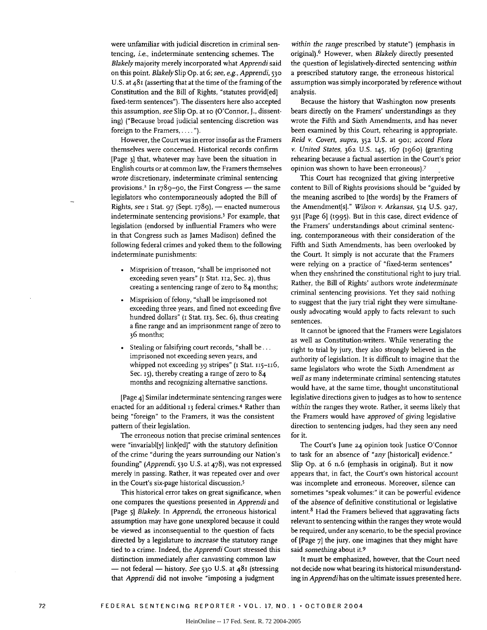were unfamiliar with judicial discretion in criminal sentencing, i.e., indeterminate sentencing schemes. The *Blakely* majority merely incorporated what *Apprendi* said on this point. *Blakely Slip* Op. at 6; *see, e.g., Apprendi, <sup>530</sup>* U.S. at 481 (asserting that at the time of the framing of the Constitution and the Bill of Rights, "statutes provid[ed] fixed-term sentences"). The dissenters here also accepted this assumption, *see* Slip Op. at io (O'Connor, J., dissenting) ("Because broad judicial sentencing discretion was foreign to the Framers, . . . . ").

However, the Court was in error insofar as the Framers themselves were concerned. Historical records confirm [Page 3] that, whatever may have been the situation in English courts or at common law, the Framers themselves wrote discretionary, indeterminate criminal sentencing provisions.<sup>2</sup> In 1789-90, the First Congress  $-$  the same legislators who contemporaneously adopted the Bill of Rights, see I Stat. 97 (Sept. 1789), - enacted numerous indeterminate sentencing provisions.3 For example, that legislation (endorsed by influential Framers who were in that Congress such as James Madison) defined the following federal crimes and yoked them to the following indeterminate punishments:

- \* Misprision of treason, "shall be imprisoned not exceeding seven years" (i Stat. **112,** Sec. **2),** thus creating a sentencing range of zero to 84 months;
- Misprision of felony, "shall be imprisoned not exceeding three years, and fined not exceeding five hundred dollars" (i Stat. **II <sup>3</sup> ,** Sec. 6), thus creating a fine range and an imprisonment range of zero to 36 months;
- Stealing or falsifying court records, "shall be... imprisoned not exceeding seven years, and whipped not exceeding 39 stripes" (I Stat. 115-116, Sec. 15), thereby creating a range of zero to  $84$ months and recognizing alternative sanctions.

[Page 4] Similar indeterminate sentencing ranges were enacted for an additional **13** federal crimes.4 Rather than being "foreign" to the Framers, it was the consistent pattern of their legislation.

The erroneous notion that precise criminal sentences were "invariabl[y] link[ed]" with the statutory definition of the crime "during the years surrounding our Nation's founding" *(Apprendi,* **530** U.S. at 478), was not expressed merely in passing. Rather, it was repeated over and over in the Court's six-page historical discussion.5

This historical error takes on great significance, when one compares the questions presented in *Apprendi* and [Page 5] *Blakely.* In *Apprendi,* the erroneous historical assumption may have gone unexplored because it could be viewed as inconsequential to the question of facts directed by a legislature to *increase* the statutory range tied to a crime. Indeed, the *Apprendi* Court stressed this distinction immediately after canvassing common law **-** not federal - history. *See* **530** U.S. at 481 (stressing that *Apprendi* did not involve "imposing a judgment

*within the range* prescribed by statute") (emphasis in original).6 However, when *Blakely* directly presented the question of legislatively-directed sentencing *within* a prescribed statutory range, the erroneous historical assumption was simply incorporated by reference without analysis.

Because the history that Washington now presents bears directly on the Framers' understandings as they wrote the Fifth and Sixth Amendments, and has never been examined by this Court, rehearing is appropriate. *Reid v. Covert, supra,* **352** U.S. at 9oi; *accord Flora v. United States,* 362 U.S. 145, 167 (196o) (granting rehearing because a factual assertion in the Court's prior opinion was shown to have been erroneous). <sup>7</sup>

This Court has recognized that giving interpretive content to Bill of Rights provisions should be "guided by the meaning ascribed to [the words] by the Framers of the Amendment[s]." *Wilson v. Arkansas,* **514** U.S. **927,** 931 [Page 6] (1995). But in this case, direct evidence of the Framers' understandings about criminal sentencing, contemporaneous with their consideration of the Fifth and Sixth Amendments, has been overlooked by the Court. It simply is not accurate that the Framers were relying on a practice of "fixed-term sentences" when they enshrined the constitutional right to jury trial. Rather, the Bill of Rights' authors wrote *indeterminate* criminal sentencing provisions. Yet they said nothing to suggest that the jury trial right they were simultaneously advocating would apply to facts relevant to such sentences.

It cannot be ignored that the Framers were Legislators as well as Constitution-writers. While venerating the right to trial by jury, they also strongly believed in the authority of legislation. It is difficult to imagine that the same legislators who wrote the Sixth Amendment *as well as* many indeterminate criminal sentencing statutes would have, at the same time, thought unconstitutional legislative directions given to judges as to how to sentence *within* the ranges they wrote. Rather, it seems likely that the Framers would have *approved* of giving legislative direction to sentencing judges, had they seen any need for it.

The Court's June **24** opinion took Justice O'Connor to task for an absence of *"any* [historical] evidence." Slip Op. at 6 n.6 (emphasis in original). But it now appears that, in fact, the Court's own historical account was incomplete and erroneous. Moreover, silence can sometimes "speak volumes:" it can be powerful evidence of the *absence* of definitive constitutional or legislative intent.8 Had the Framers believed that aggravating facts relevant to sentencing within the ranges they wrote would be required, under any scenario, to be the special province of [Page 7] the jury, one imagines that they might have said *something* about it.9

It must be emphasized, however, that the Court need not decide now what bearing its historical misunderstanding in *Apprendi has* on the ultimate issues presented here.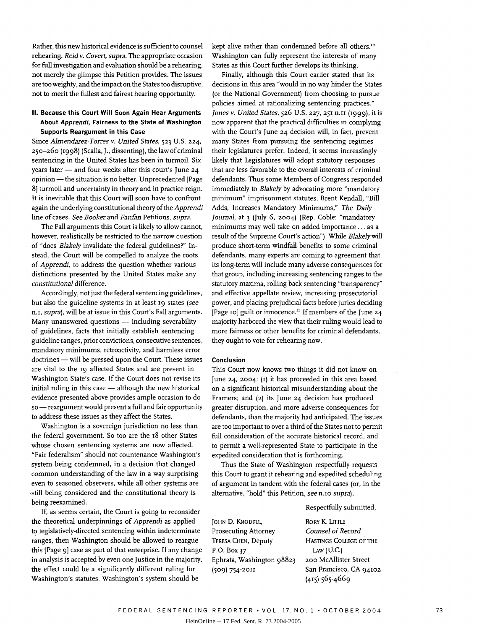P.O. Box 37

**(509) 754-2011**

**JOHN D. KNODELL,** Prosecuting Attorney TERESA CHEN, Deputy

Ephrata, Washington **98823**

Rather, this new historical evidence is sufficient to counsel rehearing. *Reid v. Covert, supra.* The appropriate occasion for full investigation and evaluation should be a rehearing, not merely the glimpse this Petition provides. The issues are too weighty, and the impact on the States too disruptive, not to merit the fullest and fairest hearing opportunity.

#### **II. Because this Court Will Soon Again Hear Arguments About Apprendi, Fairness to the State of Washington Supports Reargument in this Case**

Since *Almendarez-Torres v. United States,* **523** U.S. **224,** 250-26o (1998) (Scalia, J., dissenting), the law of criminal sentencing in the United States has been in turmoil. Six years later - and four weeks after this court's June 24 opinion - the situation is no better. Unprecedented [Page 8] turmoil and uncertainty in theory and in practice reign. It is inevitable that this Court will soon have to confront again the underlying constitutional theory of the *Apprendi* line of cases. *See Booker* and *Fanfan* Petitions, *supra.*

The Fall arguments this Court is likely to allow cannot, however, realistically be restricted to the narrow question of "does *Blakely* invalidate the federal guidelines?" Instead, the Court will be compelled to analyze the roots of *Apprendi,* to address the question whether various distinctions presented by the United States make any *constitutional* difference.

Accordingly, not just the federal sentencing guidelines, but also the guideline systems in at least 19 states *(see n.i, supra),* will be at issue in this Court's Fall arguments. Many unanswered questions - including severability of guidelines, facts that initially establish sentencing guideline ranges, prior convictions, consecutive sentences, mandatory minimums, retroactivity, and harmless error doctrines - will be pressed upon the Court. These issues are vital to the 19 affected States and are present in Washington State's case. If the Court does not revise its initial ruling in this case  $-$  although the new historical evidence presented above provides ample occasion to do so - reargument would present a full and fair opportunity to address these issues as they affect the States.

Washington is a sovereign jurisdiction no less than the federal government. So too are the 18 other States whose chosen sentencing systems are now affected. "Fair federalism" should not countenance Washington's system being condemned, in a decision that changed common understanding of the law in a way surprising even to seasoned observers, while all other systems are still being considered and the constitutional theory is being reexamined.

If, as seems certain, the Court is going to reconsider the theoretical underpinnings of *Apprendi* as applied to legislatively-directed sentencing within indeterminate ranges, then Washington should be allowed to reargue this [Page 9] case as part of that enterprise. If any change in analysis is accepted by even one Justice in the majority, the effect could be a significantly different ruling for Washington's statutes. Washington's system should be

kept alive rather than condemned before all others.<sup>10</sup> Washington can fully represent the interests of many States as this Court further develops its thinking.

Finally, although this Court earlier stated that its decisions in this area "would in no way hinder the States (or the National Government) from choosing to pursue policies aimed at rationalizing sentencing practices." *Jones v. United States,* **526** U.S. **227,** 251 n.ii (i999), it is now apparent that the practical difficulties in complying with the Court's June **24** decision will, in fact, prevent many States from pursuing the sentencing regimes their legislatures prefer. Indeed, it seems increasingly likely that Legislatures will adopt statutory responses that are less favorable to the overall interests of criminal defendants. Thus some Members of Congress responded immediately to *Blakely* by advocating more "mandatory minimum" imprisonment statutes. Brent Kendall, "Bill Adds, Increases Mandatory Minimums," *The Daily Journal,* at 3 (July 6, **2004)** (Rep. Coble: "mandatory minimums may well take on added importance.., as a result of the Supreme Court's action"). While *Blakely* will produce short-term windfall benefits to some criminal defendants, many experts are coming to agreement that its long-term will include many adverse consequences for that group, including increasing sentencing ranges to the statutory maxima, rolling back sentencing "transparency" and effective appellate review, increasing prosecutorial power, and placing prejudicial facts before juries deciding [Page io] guilt or innocence." If members of the June **24** majority harbored the view that their ruling would lead to more fairness or other benefits for criminal defendants, they ought to vote for rehearing now.

#### **Conclusion**

This Court now knows two things it did not know on June **24, 2004: (I)** it has proceeded in this area based on a significant historical misunderstanding about the Framers; and **(2)** its June **24** decision has produced greater disruption, and more adverse consequences for defendants, than the majority had anticipated. The issues are too important to over a third of the States not to permit full consideration of the accurate historical record, and to permit a well-represented State to participate in the expedited consideration that is forthcoming.

Thus the State of Washington respectfully requests this Court to grant it rehearing and expedited scheduling of argument in tandem with the federal cases (or, in the alternative, "hold" this Petition, *see* n.io *supra).*

Respectfully submitted,

RORY K. LITTLE *Counsel of Record* HASTINGS **COLLEGE** OF THE LAW (U.C.) **200** McAllister Street San Francisco, CA **94102 (415)** 565-4669